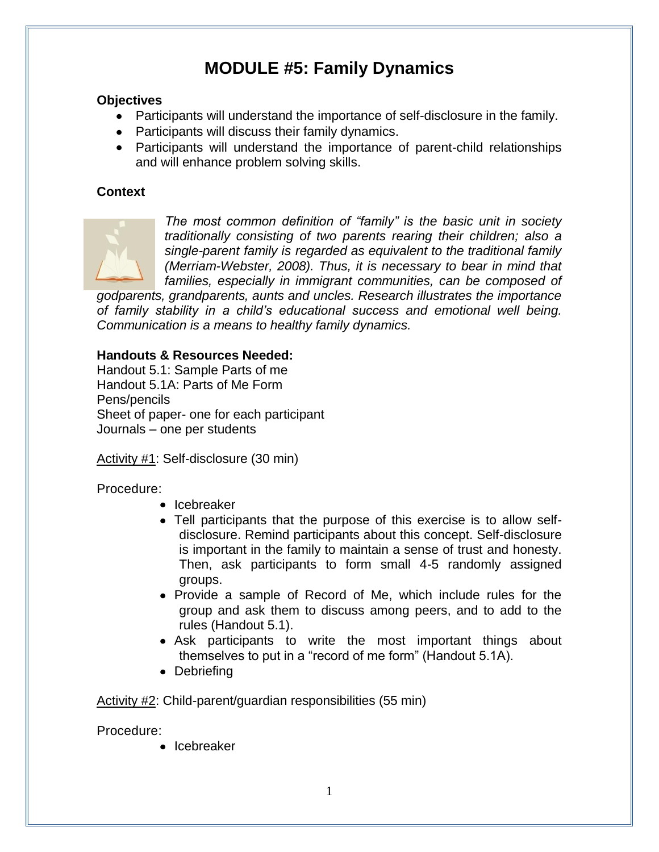# **MODULE #5: Family Dynamics**

## **Objectives**

- Participants will understand the importance of self-disclosure in the family.
- Participants will discuss their family dynamics.
- Participants will understand the importance of parent-child relationships and will enhance problem solving skills.

# **Context**



*The most common definition of "family" is the basic unit in society traditionally consisting of two parents rearing their children; also a single-parent family is regarded as equivalent to the traditional family (Merriam-Webster, 2008). Thus, it is necessary to bear in mind that families, especially in immigrant communities, can be composed of* 

*godparents, grandparents, aunts and uncles. Research illustrates the importance of family stability in a child's educational success and emotional well being. Communication is a means to healthy family dynamics.*

### **Handouts & Resources Needed:**

Handout 5.1: Sample Parts of me Handout 5.1A: Parts of Me Form Pens/pencils Sheet of paper- one for each participant Journals – one per students

Activity #1: Self-disclosure (30 min)

Procedure:

- Icebreaker
- Tell participants that the purpose of this exercise is to allow selfdisclosure. Remind participants about this concept. Self-disclosure is important in the family to maintain a sense of trust and honesty. Then, ask participants to form small 4-5 randomly assigned groups.
- Provide a sample of Record of Me, which include rules for the group and ask them to discuss among peers, and to add to the rules (Handout 5.1).
- Ask participants to write the most important things about themselves to put in a "record of me form" (Handout 5.1A).
- Debriefing

Activity #2: Child-parent/guardian responsibilities (55 min)

Procedure:

• Icebreaker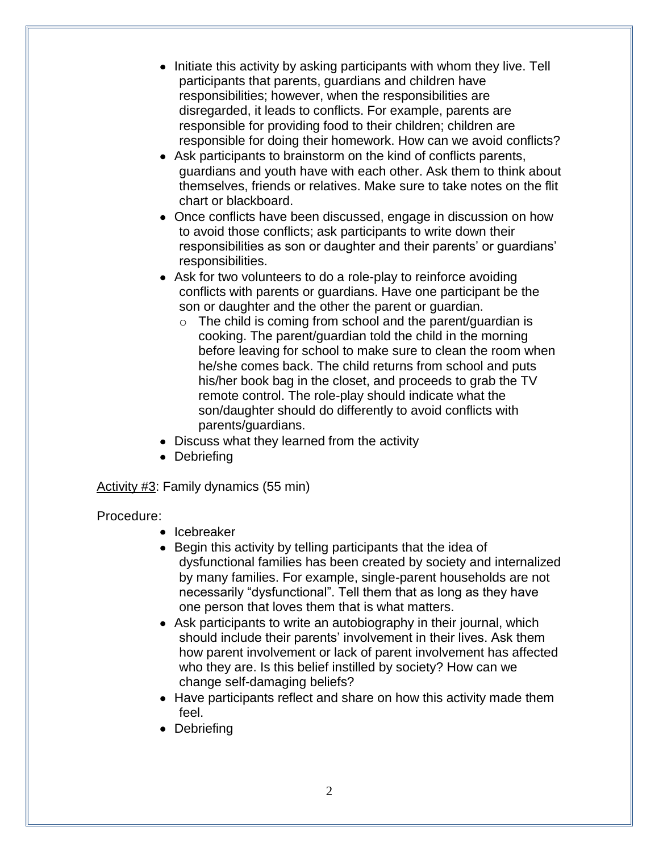- Initiate this activity by asking participants with whom they live. Tell participants that parents, guardians and children have responsibilities; however, when the responsibilities are disregarded, it leads to conflicts. For example, parents are responsible for providing food to their children; children are responsible for doing their homework. How can we avoid conflicts?
- Ask participants to brainstorm on the kind of conflicts parents, guardians and youth have with each other. Ask them to think about themselves, friends or relatives. Make sure to take notes on the flit chart or blackboard.
- Once conflicts have been discussed, engage in discussion on how to avoid those conflicts; ask participants to write down their responsibilities as son or daughter and their parents' or guardians' responsibilities.
- Ask for two volunteers to do a role-play to reinforce avoiding conflicts with parents or guardians. Have one participant be the son or daughter and the other the parent or guardian.
	- $\circ$  The child is coming from school and the parent/guardian is cooking. The parent/guardian told the child in the morning before leaving for school to make sure to clean the room when he/she comes back. The child returns from school and puts his/her book bag in the closet, and proceeds to grab the TV remote control. The role-play should indicate what the son/daughter should do differently to avoid conflicts with parents/guardians.
- Discuss what they learned from the activity
- Debriefing

Activity #3: Family dynamics (55 min)

### Procedure:

- Icebreaker
- Begin this activity by telling participants that the idea of dysfunctional families has been created by society and internalized by many families. For example, single-parent households are not necessarily "dysfunctional". Tell them that as long as they have one person that loves them that is what matters.
- Ask participants to write an autobiography in their journal, which should include their parents' involvement in their lives. Ask them how parent involvement or lack of parent involvement has affected who they are. Is this belief instilled by society? How can we change self-damaging beliefs?
- Have participants reflect and share on how this activity made them feel.
- Debriefing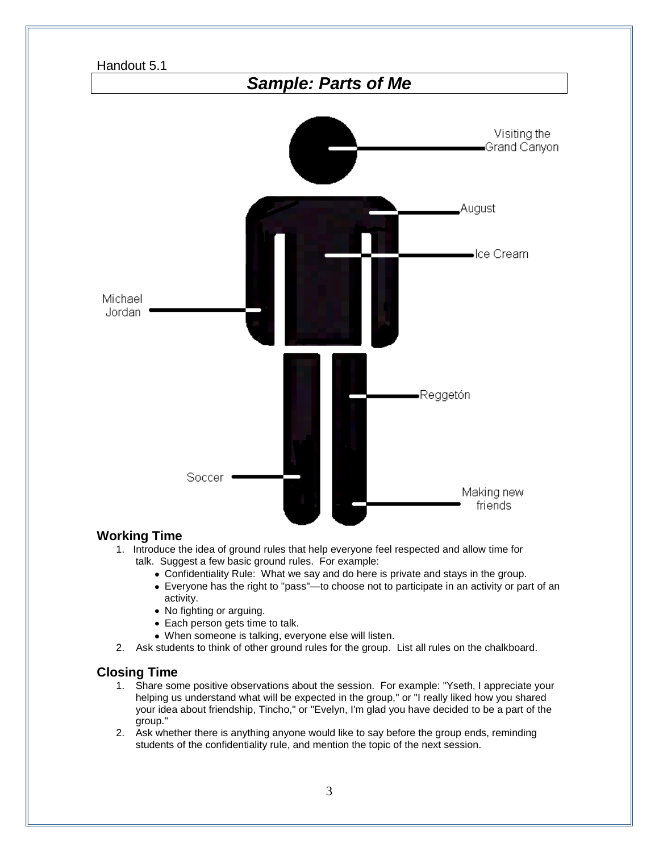

#### **Working Time**

- 1. Introduce the idea of ground rules that help everyone feel respected and allow time for talk. Suggest a few basic ground rules. For example:
	- Confidentiality Rule: What we say and do here is private and stays in the group.
	- Everyone has the right to "pass"—to choose not to participate in an activity or part of an activity.
	- No fighting or arguing.
	- Each person gets time to talk.
	- When someone is talking, everyone else will listen.
- 2. Ask students to think of other ground rules for the group. List all rules on the chalkboard.

#### **Closing Time**

- 1. Share some positive observations about the session. For example: "Yseth, I appreciate your helping us understand what will be expected in the group," or "I really liked how you shared your idea about friendship, Tincho," or "Evelyn, I'm glad you have decided to be a part of the group."
- 2. Ask whether there is anything anyone would like to say before the group ends, reminding students of the confidentiality rule, and mention the topic of the next session.